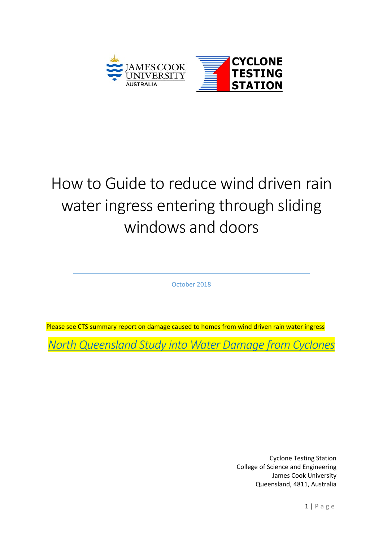

# How to Guide to reduce wind driven rain water ingress entering through sliding windows and doors

October 2018

Please see CTS summary report on damage caused to homes from wind driven rain water ingress

*[North Queensland Study into Water Damage from Cyclones](https://www.jcu.edu.au/__data/assets/pdf_file/0009/748485/CTS_wind_driven_rain_20181018.pdf)*

Cyclone Testing Station College of Science and Engineering James Cook University Queensland, 4811, Australia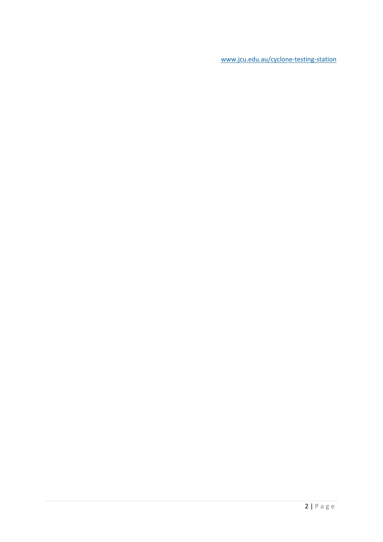[www.jcu.edu.au/cyclone-testing-station](http://www.jcu.edu.au/cyclone-testing-station)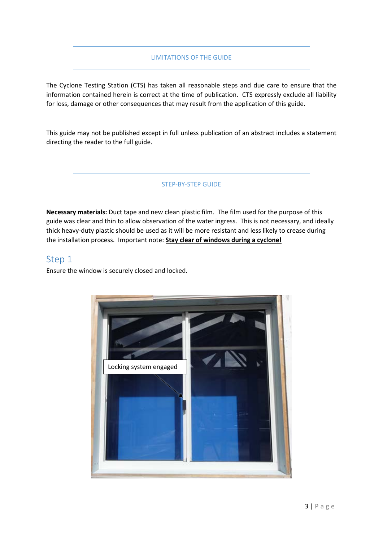#### LIMITATIONS OF THE GUIDE

The Cyclone Testing Station (CTS) has taken all reasonable steps and due care to ensure that the information contained herein is correct at the time of publication. CTS expressly exclude all liability for loss, damage or other consequences that may result from the application of this guide.

This guide may not be published except in full unless publication of an abstract includes a statement directing the reader to the full guide.

#### STEP-BY-STEP GUIDE

**Necessary materials:** Duct tape and new clean plastic film. The film used for the purpose of this guide was clear and thin to allow observation of the water ingress. This is not necessary, and ideally thick heavy-duty plastic should be used as it will be more resistant and less likely to crease during the installation process. Important note: **Stay clear of windows during a cyclone!**

#### Step 1

Ensure the window is securely closed and locked.

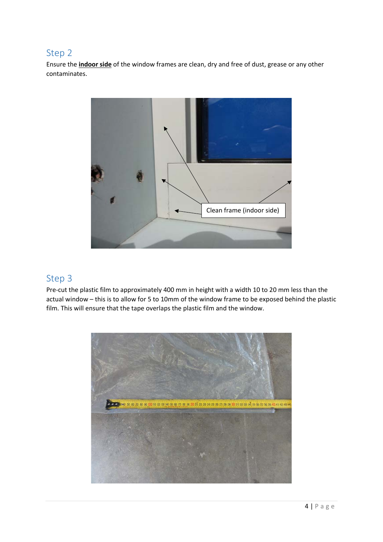## Step 2

Ensure the **indoor side** of the window frames are clean, dry and free of dust, grease or any other contaminates.



#### Step 3

Pre-cut the plastic film to approximately 400 mm in height with a width 10 to 20 mm less than the actual window – this is to allow for 5 to 10mm of the window frame to be exposed behind the plastic film. This will ensure that the tape overlaps the plastic film and the window.

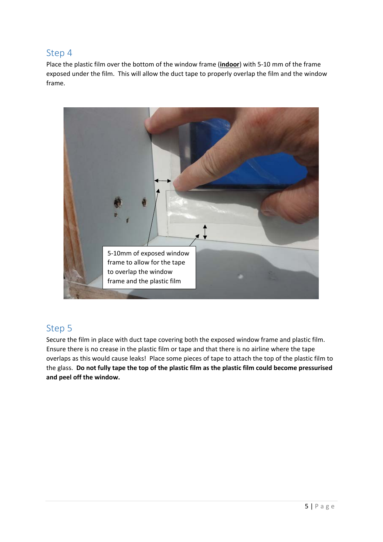### Step 4

Place the plastic film over the bottom of the window frame (**indoor**) with 5-10 mm of the frame exposed under the film. This will allow the duct tape to properly overlap the film and the window frame.



## Step 5

Secure the film in place with duct tape covering both the exposed window frame and plastic film. Ensure there is no crease in the plastic film or tape and that there is no airline where the tape overlaps as this would cause leaks! Place some pieces of tape to attach the top of the plastic film to the glass. **Do not fully tape the top of the plastic film as the plastic film could become pressurised and peel off the window.**